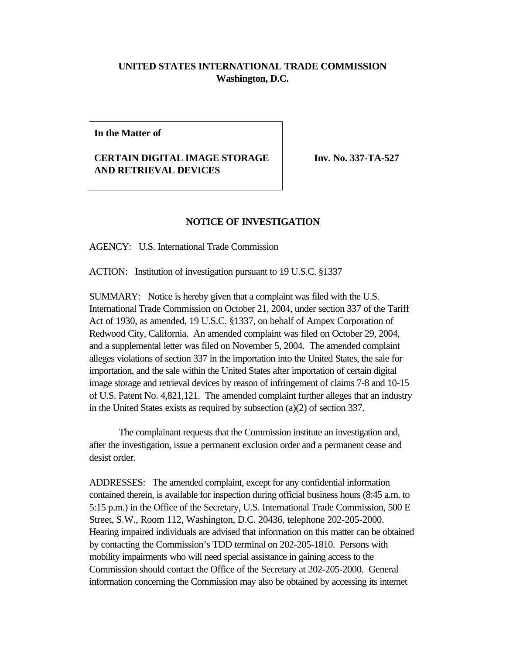## **UNITED STATES INTERNATIONAL TRADE COMMISSION Washington, D.C.**

**In the Matter of**

## **CERTAIN DIGITAL IMAGE STORAGE AND RETRIEVAL DEVICES**

**Inv. No. 337-TA-527** 

## **NOTICE OF INVESTIGATION**

AGENCY: U.S. International Trade Commission

ACTION: Institution of investigation pursuant to 19 U.S.C. §1337

SUMMARY: Notice is hereby given that a complaint was filed with the U.S. International Trade Commission on October 21, 2004, under section 337 of the Tariff Act of 1930, as amended, 19 U.S.C. §1337, on behalf of Ampex Corporation of Redwood City, California. An amended complaint was filed on October 29, 2004, and a supplemental letter was filed on November 5, 2004. The amended complaint alleges violations of section 337 in the importation into the United States, the sale for importation, and the sale within the United States after importation of certain digital image storage and retrieval devices by reason of infringement of claims 7-8 and 10-15 of U.S. Patent No. 4,821,121. The amended complaint further alleges that an industry in the United States exists as required by subsection (a)(2) of section 337.

The complainant requests that the Commission institute an investigation and, after the investigation, issue a permanent exclusion order and a permanent cease and desist order.

ADDRESSES: The amended complaint, except for any confidential information contained therein, is available for inspection during official business hours (8:45 a.m. to 5:15 p.m.) in the Office of the Secretary, U.S. International Trade Commission, 500 E Street, S.W., Room 112, Washington, D.C. 20436, telephone 202-205-2000. Hearing impaired individuals are advised that information on this matter can be obtained by contacting the Commission's TDD terminal on 202-205-1810. Persons with mobility impairments who will need special assistance in gaining access to the Commission should contact the Office of the Secretary at 202-205-2000. General information concerning the Commission may also be obtained by accessing its internet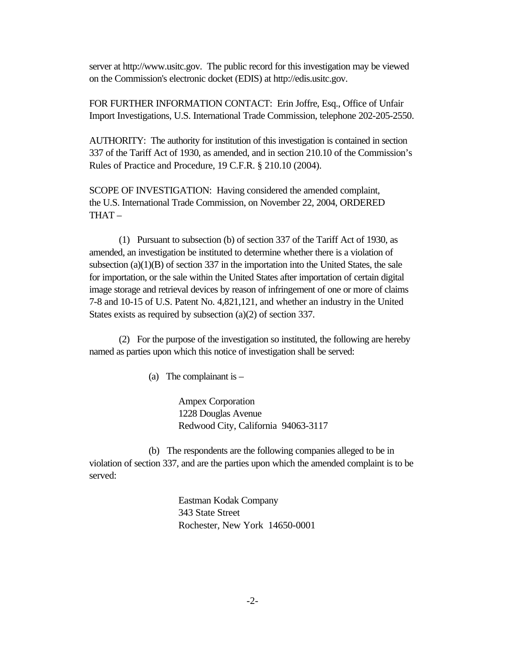server at http://www.usitc.gov. The public record for this investigation may be viewed on the Commission's electronic docket (EDIS) at http://edis.usitc.gov.

FOR FURTHER INFORMATION CONTACT: Erin Joffre, Esq., Office of Unfair Import Investigations, U.S. International Trade Commission, telephone 202-205-2550.

AUTHORITY: The authority for institution of this investigation is contained in section 337 of the Tariff Act of 1930, as amended, and in section 210.10 of the Commission's Rules of Practice and Procedure, 19 C.F.R. § 210.10 (2004).

SCOPE OF INVESTIGATION: Having considered the amended complaint, the U.S. International Trade Commission, on November 22, 2004, ORDERED THAT –

(1) Pursuant to subsection (b) of section 337 of the Tariff Act of 1930, as amended, an investigation be instituted to determine whether there is a violation of subsection  $(a)(1)(B)$  of section 337 in the importation into the United States, the sale for importation, or the sale within the United States after importation of certain digital image storage and retrieval devices by reason of infringement of one or more of claims 7-8 and 10-15 of U.S. Patent No. 4,821,121, and whether an industry in the United States exists as required by subsection (a)(2) of section 337.

(2) For the purpose of the investigation so instituted, the following are hereby named as parties upon which this notice of investigation shall be served:

(a) The complainant is  $-$ 

Ampex Corporation 1228 Douglas Avenue Redwood City, California 94063-3117

(b) The respondents are the following companies alleged to be in violation of section 337, and are the parties upon which the amended complaint is to be served:

> Eastman Kodak Company 343 State Street Rochester, New York 14650-0001